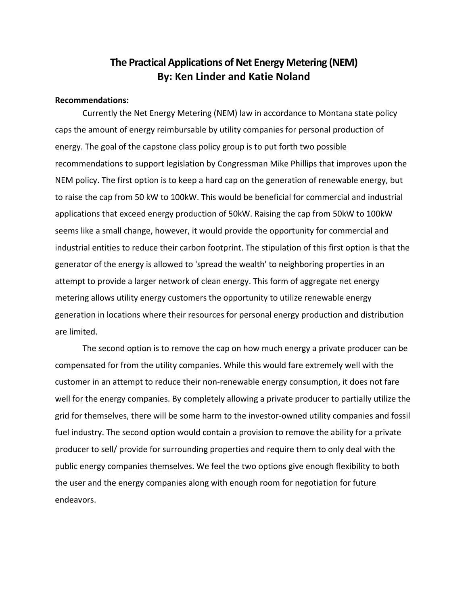# **The Practical Applications ofNet Energy Metering (NEM) By: Ken Linder and Katie Noland**

# **Recommendations:**

 Currently the Net Energy Metering (NEM) law in accordance to Montana state policy caps the amount of energy reimbursable by utility companies for personal production of energy. The goal of the capstone class policy group is to put forth two possible recommendations to support legislation by Congressman Mike Phillips that improves upon the NEM policy. The first option is to keep a hard cap on the generation of renewable energy, but to raise the cap from 50 kW to 100kW. This would be beneficial for commercial and industrial applications that exceed energy production of 50kW. Raising the cap from 50kW to 100kW seems like a small change, however, it would provide the opportunity for commercial and industrial entities to reduce their carbon footprint. The stipulation of this first option is that the generator of the energy is allowed to 'spread the wealth' to neighboring properties in an attempt to provide a larger network of clean energy. This form of aggregate net energy metering allows utility energy customers the opportunity to utilize renewable energy generation in locations where their resources for personal energy production and distribution are limited.

 The second option is to remove the cap on how much energy a private producer can be compensated for from the utility companies. While this would fare extremely well with the customer in an attempt to reduce their non‐renewable energy consumption, it does not fare well for the energy companies. By completely allowing a private producer to partially utilize the grid for themselves, there will be some harm to the investor‐owned utility companies and fossil fuel industry. The second option would contain a provision to remove the ability for a private producer to sell/ provide for surrounding properties and require them to only deal with the public energy companies themselves. We feel the two options give enough flexibility to both the user and the energy companies along with enough room for negotiation for future endeavors.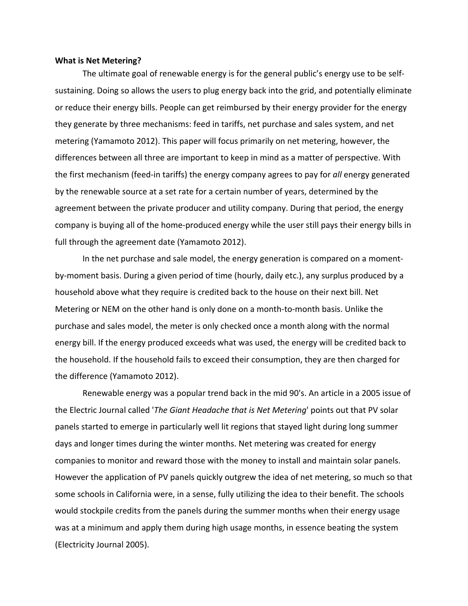## **What is Net Metering?**

 The ultimate goal of renewable energy is for the general public's energy use to be self‐ sustaining. Doing so allows the users to plug energy back into the grid, and potentially eliminate or reduce their energy bills. People can get reimbursed by their energy provider for the energy they generate by three mechanisms: feed in tariffs, net purchase and sales system, and net metering (Yamamoto 2012). This paper will focus primarily on net metering, however, the differences between all three are important to keep in mind as a matter of perspective. With the first mechanism (feed‐in tariffs) the energy company agrees to pay for *all* energy generated by the renewable source at a set rate for a certain number of years, determined by the agreement between the private producer and utility company. During that period, the energy company is buying all of the home‐produced energy while the user still pays their energy bills in full through the agreement date (Yamamoto 2012).

 In the net purchase and sale model, the energy generation is compared on a moment‐ by‐moment basis. During a given period of time (hourly, daily etc.), any surplus produced by a household above what they require is credited back to the house on their next bill. Net Metering or NEM on the other hand is only done on a month‐to‐month basis. Unlike the purchase and sales model, the meter is only checked once a month along with the normal energy bill. If the energy produced exceeds what was used, the energy will be credited back to the household. If the household fails to exceed their consumption, they are then charged for the difference (Yamamoto 2012).

 Renewable energy was a popular trend back in the mid 90's. An article in a 2005 issue of  the Electric Journal called '*The Giant Headache that is Net Metering*' points out that PV solar panels started to emerge in particularly well lit regions that stayed light during long summer days and longer times during the winter months. Net metering was created for energy companies to monitor and reward those with the money to install and maintain solar panels. However the application of PV panels quickly outgrew the idea of net metering, so much so that some schools in California were, in a sense, fully utilizing the idea to their benefit. The schools would stockpile credits from the panels during the summer months when their energy usage was at a minimum and apply them during high usage months, in essence beating the system (Electricity Journal 2005).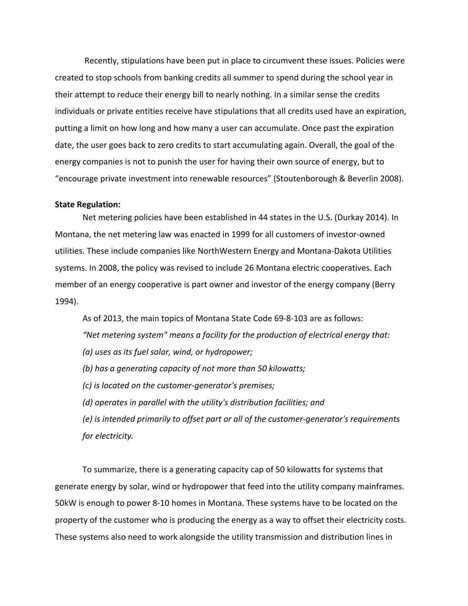Recently, stipulations have been put in place to circumvent these issues. Policies were created to stop schools from banking credits all summer to spend during the school year in their attempt to reduce their energy bill to nearly nothing. In a similar sense the credits individuals or private entities receive have stipulations that all credits used have an expiration, putting a limit on how long and how many a user can accumulate. Once past the expiration date, the user goes back to zero credits to start accumulating again. Overall, the goal of the energy companies is not to punish the user for having their own source of energy, but to "encourage private investment into renewable resources" (Stoutenborough & Beverlin 2008).

## **State Regulation:**

 Net metering policies have been established in 44 states in the U.S. (Durkay 2014). In Montana, the net metering law was enacted in 1999 for all customers of investor‐owned utilities. These include companies like NorthWestern Energy and Montana‐Dakota Utilities systems. In 2008, the policy was revised to include 26 Montana electric cooperatives. Each member of an energy cooperative is part owner and investor of the energy company (Berry 1994).

 As of 2013, the main topics of Montana State Code 69‐8‐103 are as follows:  *"Net metering system" means a facility for the production of electrical energy that: (a) uses as its fuel solar, wind, or hydropower; (b) has a generating capacity of not more than 50 kilowatts; (c) is located on the customer‐generator's premises; (d) operates in parallel with the utility's distribution facilities; and (e) is intended primarily to offset part or all of the customer‐generator's requirements for electricity.*

 To summarize, there is a generating capacity cap of 50 kilowatts for systems that generate energy by solar, wind or hydropower that feed into the utility company mainframes. 50kW is enough to power 8‐10 homes in Montana. These systems have to be located on the property of the customer who is producing the energy as a way to offset their electricity costs. These systems also need to work alongside the utility transmission and distribution lines in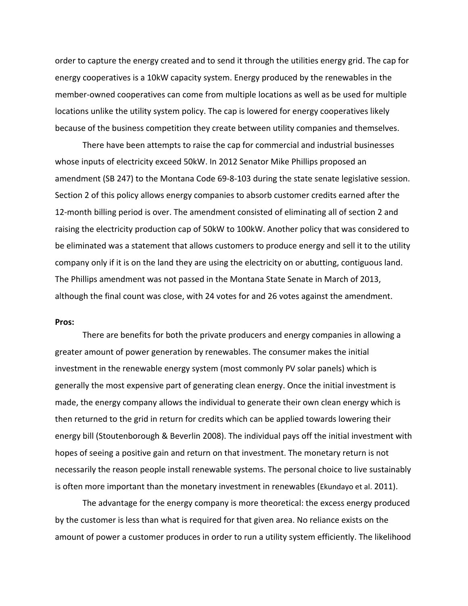order to capture the energy created and to send it through the utilities energy grid. The cap for energy cooperatives is a 10kW capacity system. Energy produced by the renewables in the member-owned cooperatives can come from multiple locations as well as be used for multiple locations unlike the utility system policy. The cap is lowered for energy cooperatives likely because of the business competition they create between utility companies and themselves.

 There have been attempts to raise the cap for commercial and industrial businesses whose inputs of electricity exceed 50kW. In 2012 Senator Mike Phillips proposed an amendment (SB 247) to the Montana Code 69‐8‐103 during the state senate legislative session. Section 2 of this policy allows energy companies to absorb customer credits earned after the 12-month billing period is over. The amendment consisted of eliminating all of section 2 and raising the electricity production cap of 50kW to 100kW. Another policy that was considered to be eliminated was a statement that allows customers to produce energy and sell it to the utility company only if it is on the land they are using the electricity on or abutting, contiguous land. The Phillips amendment was not passed in the Montana State Senate in March of 2013, although the final count was close, with 24 votes for and 26 votes against the amendment.

#### **Pros:**

 There are benefits for both the private producers and energy companies in allowing a greater amount of power generation by renewables. The consumer makes the initial investment in the renewable energy system (most commonly PV solar panels) which is generally the most expensive part of generating clean energy. Once the initial investment is made, the energy company allows the individual to generate their own clean energy which is then returned to the grid in return for credits which can be applied towards lowering their energy bill (Stoutenborough & Beverlin 2008). The individual pays off the initial investment with hopes of seeing a positive gain and return on that investment. The monetary return is not necessarily the reason people install renewable systems. The personal choice to live sustainably is often more important than the monetary investment in renewables (Ekundayo et al. 2011).

 The advantage for the energy company is more theoretical: the excess energy produced by the customer is less than what is required for that given area. No reliance exists on the amount of power a customer produces in order to run a utility system efficiently. The likelihood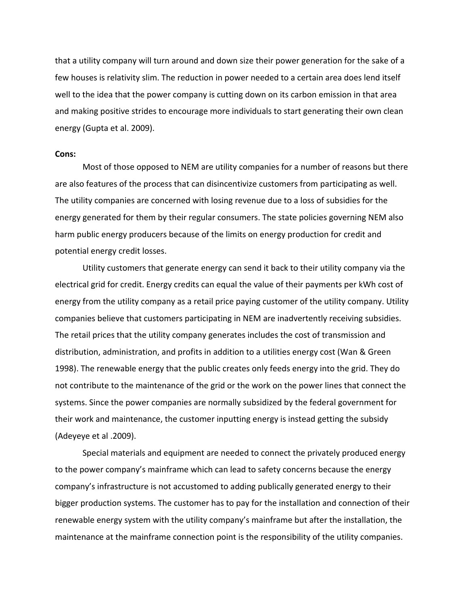that a utility company will turn around and down size their power generation for the sake of a few houses is relativity slim. The reduction in power needed to a certain area does lend itself and making positive strides to encourage more individuals to start generating their own clean energy (Gupta et al. 2009). well to the idea that the power company is cutting down on its carbon emission in that area

### **Cons:**

 Most of those opposed to NEM are utility companies for a number of reasons but there are also features of the process that can disincentivize customers from participating as well. The utility companies are concerned with losing revenue due to a loss of subsidies for the energy generated for them by their regular consumers. The state policies governing NEM also harm public energy producers because of the limits on energy production for credit and potential energy credit losses.

 Utility customers that generate energy can send it back to their utility company via the electrical grid for credit. Energy credits can equal the value of their payments per kWh cost of energy from the utility company as a retail price paying customer of the utility company. Utility companies believe that customers participating in NEM are inadvertently receiving subsidies. The retail prices that the utility company generates includes the cost of transmission and distribution, administration, and profits in addition to a utilities energy cost (Wan & Green 1998). The renewable energy that the public creates only feeds energy into the grid. They do not contribute to the maintenance of the grid or the work on the power lines that connect the systems. Since the power companies are normally subsidized by the federal government for their work and maintenance, the customer inputting energy is instead getting the subsidy (Adeyeye et al .2009).

 Special materials and equipment are needed to connect the privately produced energy to the power company's mainframe which can lead to safety concerns because the energy company's infrastructure is not accustomed to adding publically generated energy to their bigger production systems. The customer has to pay for the installation and connection of their renewable energy system with the utility company's mainframe but after the installation, the maintenance at the mainframe connection point is the responsibility of the utility companies.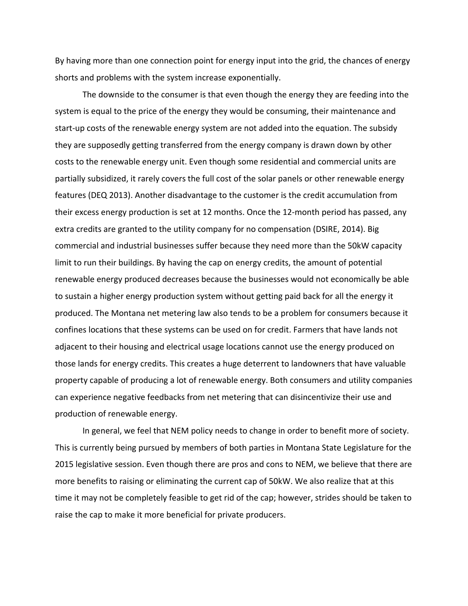By having more than one connection point for energy input into the grid, the chances of energy shorts and problems with the system increase exponentially.

 The downside to the consumer is that even though the energy they are feeding into the system is equal to the price of the energy they would be consuming, their maintenance and start‐up costs of the renewable energy system are not added into the equation. The subsidy they are supposedly getting transferred from the energy company is drawn down by other costs to the renewable energy unit. Even though some residential and commercial units are partially subsidized, it rarely covers the full cost of the solar panels or other renewable energy features (DEQ 2013). Another disadvantage to the customer is the credit accumulation from their excess energy production is set at 12 months. Once the 12‐month period has passed, any extra credits are granted to the utility company for no compensation (DSIRE, 2014). Big commercial and industrial businesses suffer because they need more than the 50kW capacity limit to run their buildings. By having the cap on energy credits, the amount of potential renewable energy produced decreases because the businesses would not economically be able to sustain a higher energy production system without getting paid back for all the energy it produced. The Montana net metering law also tends to be a problem for consumers because it confines locations that these systems can be used on for credit. Farmers that have lands not adjacent to their housing and electrical usage locations cannot use the energy produced on those lands for energy credits. This creates a huge deterrent to landowners that have valuable property capable of producing a lot of renewable energy. Both consumers and utility companies can experience negative feedbacks from net metering that can disincentivize their use and production of renewable energy.

 In general, we feel that NEM policy needs to change in order to benefit more of society. This is currently being pursued by members of both parties in Montana State Legislature for the 2015 legislative session. Even though there are pros and cons to NEM, we believe that there are more benefits to raising or eliminating the current cap of 50kW. We also realize that at this time it may not be completely feasible to get rid of the cap; however, strides should be taken to raise the cap to make it more beneficial for private producers.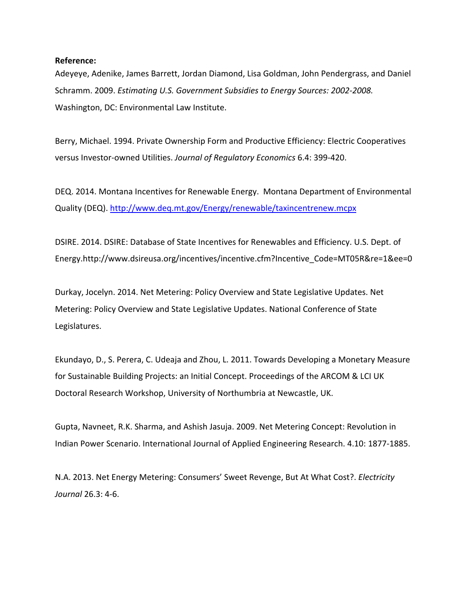# **Reference:**

 Adeyeye, Adenike, James Barrett, Jordan Diamond, Lisa Goldman, John Pendergrass, and Daniel  Schramm. 2009. *Estimating U.S. Government Subsidies to Energy Sources: 2002‐2008.* Washington, DC: Environmental Law Institute.

 Berry, Michael. 1994. Private Ownership Form and Productive Efficiency: Electric Cooperatives  versus Investor‐owned Utilities. *Journal of Regulatory Economics* 6.4: 399‐420.

 DEQ. 2014. Montana Incentives for Renewable Energy. Montana Department of Environmental Quality (DEQ). <u>http://www.deq.mt.gov/Energy/renewable/taxincentrenew.mcpx</u>

 DSIRE. 2014. DSIRE: Database of State Incentives for Renewables and Efficiency. U.S. Dept. of Energy.http://www.dsireusa.org/incentives/incentive.cfm?Incentive\_Code=MT05R&re=1&ee=0

 Durkay, Jocelyn. 2014. Net Metering: Policy Overview and State Legislative Updates. Net Metering: Policy Overview and State Legislative Updates. National Conference of State Legislatures.

 Ekundayo, D., S. Perera, C. Udeaja and Zhou, L. 2011. Towards Developing a Monetary Measure for Sustainable Building Projects: an Initial Concept. Proceedings of the ARCOM & LCI UK Doctoral Research Workshop, University of Northumbria at Newcastle, UK.

 Gupta, Navneet, R.K. Sharma, and Ashish Jasuja. 2009. Net Metering Concept: Revolution in Indian Power Scenario. International Journal of Applied Engineering Research. 4.10: 1877‐1885.

 N.A. 2013. Net Energy Metering: Consumers' Sweet Revenge, But At What Cost?. *Electricity Journal* 26.3: 4‐6.